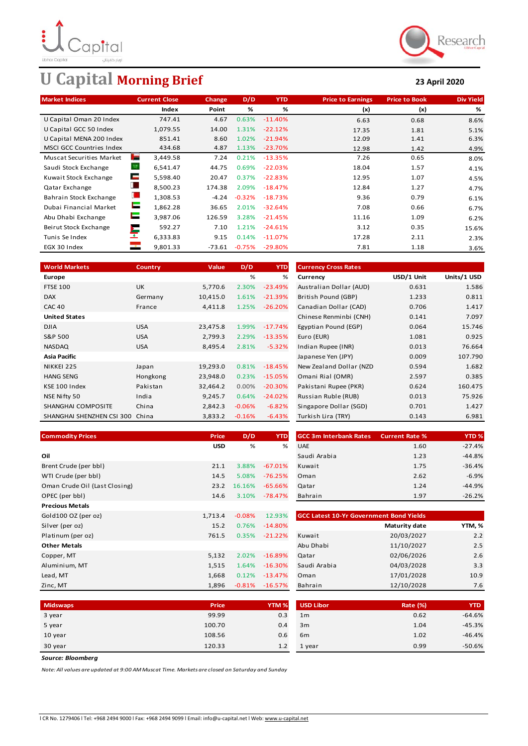

# **U Capital Morning Brief 23 April 2020**



| <b>Market Indices</b>           | <b>Current Close</b>       | Change  | D/D      | <b>YTD</b> | <b>Price to Earnings</b> | <b>Price to Book</b> | <b>Div Yield</b> |
|---------------------------------|----------------------------|---------|----------|------------|--------------------------|----------------------|------------------|
|                                 | Index                      | Point   | %        | %          | (x)                      | (x)                  | %                |
| U Capital Oman 20 Index         | 747.41                     | 4.67    | 0.63%    | $-11.40%$  | 6.63                     | 0.68                 | 8.6%             |
| U Capital GCC 50 Index          | 1,079.55                   | 14.00   | 1.31%    | $-22.12%$  | 17.35                    | 1.81                 | 5.1%             |
| U Capital MENA 200 Index        | 851.41                     | 8.60    | 1.02%    | $-21.94%$  | 12.09                    | 1.41                 | 6.3%             |
| <b>MSCI GCC Countries Index</b> | 434.68                     | 4.87    | 1.13%    | $-23.70%$  | 12.98                    | 1.42                 | 4.9%             |
| <b>Muscat Securities Market</b> | <b>STATE</b><br>3,449.58   | 7.24    | 0.21%    | $-13.35%$  | 7.26                     | 0.65                 | 8.0%             |
| Saudi Stock Exchange            | 6,541.47                   | 44.75   | 0.69%    | $-22.03%$  | 18.04                    | 1.57                 | 4.1%             |
| Kuwait Stock Exchange           | ÷<br>5,598.40              | 20.47   | 0.37%    | $-22.83%$  | 12.95                    | 1.07                 | 4.5%             |
| Qatar Exchange                  | L<br>8,500.23              | 174.38  | 2.09%    | $-18.47%$  | 12.84                    | 1.27                 | 4.7%             |
| Bahrain Stock Exchange          | u<br>1,308.53              | $-4.24$ | $-0.32%$ | $-18.73%$  | 9.36                     | 0.79                 | 6.1%             |
| Dubai Financial Market          | Е<br>1,862.28              | 36.65   | 2.01%    | $-32.64%$  | 7.08                     | 0.66                 | 6.7%             |
| Abu Dhabi Exchange              | Е<br>3,987.06              | 126.59  | 3.28%    | $-21.45%$  | 11.16                    | 1.09                 | 6.2%             |
| Beirut Stock Exchange           | 592.27                     | 7.10    | 1.21%    | $-24.61%$  | 3.12                     | 0.35                 | 15.6%            |
| Tunis Se Index                  | ×<br>6,333.83              | 9.15    | 0.14%    | $-11.07%$  | 17.28                    | 2.11                 | 2.3%             |
| EGX 30 Index                    | $\mathbb{R}^n$<br>9,801.33 | -73.61  | $-0.75%$ | $-29.80%$  | 7.81                     | 1.18                 | 3.6%             |

| <b>World Markets</b>      | <b>Country</b> | Value    | D/D      | <b>YTD</b> | <b>Currency Cross Rates</b> |            |             |
|---------------------------|----------------|----------|----------|------------|-----------------------------|------------|-------------|
| Europe                    |                |          | %        | %          | Currency                    | USD/1 Unit | Units/1 USD |
| <b>FTSE 100</b>           | <b>UK</b>      | 5,770.6  | 2.30%    | $-23.49%$  | Australian Dollar (AUD)     | 0.631      | 1.586       |
| <b>DAX</b>                | Germany        | 10,415.0 | 1.61%    | $-21.39%$  | British Pound (GBP)         | 1.233      | 0.811       |
| <b>CAC 40</b>             | France         | 4,411.8  | 1.25%    | $-26.20%$  | Canadian Dollar (CAD)       | 0.706      | 1.417       |
| <b>United States</b>      |                |          |          |            | Chinese Renminbi (CNH)      | 0.141      | 7.097       |
| <b>DJIA</b>               | <b>USA</b>     | 23,475.8 | 1.99%    | $-17.74%$  | Egyptian Pound (EGP)        | 0.064      | 15.746      |
| S&P 500                   | <b>USA</b>     | 2,799.3  | 2.29%    | $-13.35%$  | Euro (EUR)                  | 1.081      | 0.925       |
| <b>NASDAQ</b>             | <b>USA</b>     | 8,495.4  | 2.81%    | $-5.32%$   | Indian Rupee (INR)          | 0.013      | 76.664      |
| Asia Pacific              |                |          |          |            | Japanese Yen (JPY)          | 0.009      | 107.790     |
| NIKKEI 225                | Japan          | 19,293.0 | 0.81%    | $-18.45%$  | New Zealand Dollar (NZD     | 0.594      | 1.682       |
| <b>HANG SENG</b>          | Hongkong       | 23,948.0 | 0.23%    | $-15.05%$  | Omani Rial (OMR)            | 2.597      | 0.385       |
| KSE 100 Index             | Pakistan       | 32,464.2 | $0.00\%$ | $-20.30\%$ | Pakistani Rupee (PKR)       | 0.624      | 160.475     |
| NSE Nifty 50              | India          | 9,245.7  | 0.64%    | $-24.02%$  | Russian Ruble (RUB)         | 0.013      | 75.926      |
| SHANGHAI COMPOSITE        | China          | 2,842.3  | $-0.06%$ | $-6.82%$   | Singapore Dollar (SGD)      | 0.701      | 1.427       |
| SHANGHAI SHENZHEN CSI 300 | China          | 3,833.2  | $-0.16%$ | $-6.43%$   | Turkish Lira (TRY)          | 0.143      | 6.981       |

| <b>Currency Cross Rates</b> |            |             |
|-----------------------------|------------|-------------|
| Currency                    | USD/1 Unit | Units/1 USD |
| Australian Dollar (AUD)     | 0.631      | 1.586       |
| British Pound (GBP)         | 1.233      | 0.811       |
| Canadian Dollar (CAD)       | 0.706      | 1.417       |
| Chinese Renminbi (CNH)      | 0.141      | 7.097       |
| Egyptian Pound (EGP)        | 0.064      | 15.746      |
| Euro (EUR)                  | 1.081      | 0.925       |
| Indian Rupee (INR)          | 0.013      | 76.664      |
| Japanese Yen (JPY)          | 0.009      | 107.790     |
| New Zealand Dollar (NZD     | 0.594      | 1.682       |
| Omani Rial (OMR)            | 2.597      | 0.385       |
| Pakistani Rupee (PKR)       | 0.624      | 160.475     |
| Russian Ruble (RUB)         | 0.013      | 75.926      |
| Singapore Dollar (SGD)      | 0.701      | 1.427       |
| Turkish Lira (TRY)          | 0.143      | 6.981       |

| %<br><b>USD</b><br>%<br><b>UAE</b><br>$-27.4%$<br>1.60<br>Oil<br>Saudi Arabia<br>$-44.8%$<br>1.23<br>$-36.4%$<br>Brent Crude (per bbl)<br>3.88%<br>$-67.01%$<br>1.75<br>21.1<br>Kuwait<br>$-6.9%$<br>14.5<br>2.62<br>WTI Crude (per bbl)<br>5.08%<br>$-76.25%$<br>Oman<br>$-44.9%$<br>Oman Crude Oil (Last Closing)<br>1.24<br>23.2<br>16.16%<br>$-65.66\%$<br>Qatar<br>OPEC (per bbl)<br>$-26.2%$<br>Bahrain<br>1.97<br>14.6<br>3.10%<br>-78.47%<br><b>Precious Metals</b><br>Gold100 OZ (per oz)<br>12.93%<br><b>GCC Latest 10-Yr Government Bond Yields</b><br>1,713.4<br>$-0.08%$<br>YTM, %<br>Silver (per oz)<br>$-14.80%$<br>Maturity date<br>15.2<br>0.76%<br>2.2<br>20/03/2027<br>Platinum (per oz)<br>761.5<br>0.35%<br>$-21.22%$<br>Kuwait<br>2.5<br>Abu Dhabi<br>11/10/2027<br><b>Other Metals</b><br>02/06/2026<br>2.6<br>Copper, MT<br>5,132<br>2.02%<br>$-16.89\%$<br>Qatar<br>04/03/2028<br>3.3<br>Aluminium, MT<br>1,515<br>Saudi Arabia<br>1.64%<br>$-16.30%$<br>10.9<br>17/01/2028<br>1,668<br>0.12%<br>$-13.47%$<br>Lead, MT<br>Oman<br>12/10/2028<br>Zinc, MT<br>1,896<br>$-16.57%$<br>Bahrain<br>7.6<br>$-0.81%$ | <b>Commodity Prices</b> | Price | D/D | <b>YTD</b> | <b>GCC 3m Interbank Rates</b> | <b>Current Rate %</b> | YTD <sub>%</sub> |
|---------------------------------------------------------------------------------------------------------------------------------------------------------------------------------------------------------------------------------------------------------------------------------------------------------------------------------------------------------------------------------------------------------------------------------------------------------------------------------------------------------------------------------------------------------------------------------------------------------------------------------------------------------------------------------------------------------------------------------------------------------------------------------------------------------------------------------------------------------------------------------------------------------------------------------------------------------------------------------------------------------------------------------------------------------------------------------------------------------------------------------------|-------------------------|-------|-----|------------|-------------------------------|-----------------------|------------------|
|                                                                                                                                                                                                                                                                                                                                                                                                                                                                                                                                                                                                                                                                                                                                                                                                                                                                                                                                                                                                                                                                                                                                       |                         |       |     |            |                               |                       |                  |
|                                                                                                                                                                                                                                                                                                                                                                                                                                                                                                                                                                                                                                                                                                                                                                                                                                                                                                                                                                                                                                                                                                                                       |                         |       |     |            |                               |                       |                  |
|                                                                                                                                                                                                                                                                                                                                                                                                                                                                                                                                                                                                                                                                                                                                                                                                                                                                                                                                                                                                                                                                                                                                       |                         |       |     |            |                               |                       |                  |
|                                                                                                                                                                                                                                                                                                                                                                                                                                                                                                                                                                                                                                                                                                                                                                                                                                                                                                                                                                                                                                                                                                                                       |                         |       |     |            |                               |                       |                  |
|                                                                                                                                                                                                                                                                                                                                                                                                                                                                                                                                                                                                                                                                                                                                                                                                                                                                                                                                                                                                                                                                                                                                       |                         |       |     |            |                               |                       |                  |
|                                                                                                                                                                                                                                                                                                                                                                                                                                                                                                                                                                                                                                                                                                                                                                                                                                                                                                                                                                                                                                                                                                                                       |                         |       |     |            |                               |                       |                  |
|                                                                                                                                                                                                                                                                                                                                                                                                                                                                                                                                                                                                                                                                                                                                                                                                                                                                                                                                                                                                                                                                                                                                       |                         |       |     |            |                               |                       |                  |
|                                                                                                                                                                                                                                                                                                                                                                                                                                                                                                                                                                                                                                                                                                                                                                                                                                                                                                                                                                                                                                                                                                                                       |                         |       |     |            |                               |                       |                  |
|                                                                                                                                                                                                                                                                                                                                                                                                                                                                                                                                                                                                                                                                                                                                                                                                                                                                                                                                                                                                                                                                                                                                       |                         |       |     |            |                               |                       |                  |
|                                                                                                                                                                                                                                                                                                                                                                                                                                                                                                                                                                                                                                                                                                                                                                                                                                                                                                                                                                                                                                                                                                                                       |                         |       |     |            |                               |                       |                  |
|                                                                                                                                                                                                                                                                                                                                                                                                                                                                                                                                                                                                                                                                                                                                                                                                                                                                                                                                                                                                                                                                                                                                       |                         |       |     |            |                               |                       |                  |
|                                                                                                                                                                                                                                                                                                                                                                                                                                                                                                                                                                                                                                                                                                                                                                                                                                                                                                                                                                                                                                                                                                                                       |                         |       |     |            |                               |                       |                  |
|                                                                                                                                                                                                                                                                                                                                                                                                                                                                                                                                                                                                                                                                                                                                                                                                                                                                                                                                                                                                                                                                                                                                       |                         |       |     |            |                               |                       |                  |
|                                                                                                                                                                                                                                                                                                                                                                                                                                                                                                                                                                                                                                                                                                                                                                                                                                                                                                                                                                                                                                                                                                                                       |                         |       |     |            |                               |                       |                  |
|                                                                                                                                                                                                                                                                                                                                                                                                                                                                                                                                                                                                                                                                                                                                                                                                                                                                                                                                                                                                                                                                                                                                       |                         |       |     |            |                               |                       |                  |

| rice | D/D    | <b>YTD</b> | <b>GCC 3m Interbank Rates</b> | <b>Current Rate %</b> | <b>YTD%</b> |
|------|--------|------------|-------------------------------|-----------------------|-------------|
| USD  | %      | %          | <b>UAE</b>                    | 1.60                  | $-27.4%$    |
|      |        |            | Saudi Arabia                  | 1.23                  | $-44.8%$    |
| 21.1 | 3.88%  | $-67.01%$  | Kuwait                        | 1.75                  | $-36.4%$    |
| 14.5 | 5.08%  | $-76.25%$  | Oman                          | 2.62                  | $-6.9%$     |
| 23.2 | 16.16% | $-65.66%$  | Qatar                         | 1.24                  | $-44.9%$    |
| 14.6 | 3.10%  | $-78.47%$  | Bahrain                       | 1.97                  | $-26.2%$    |

| <b>GCC Latest 10-Yr Government Bond Yields</b> |                      |        |  |  |  |  |  |
|------------------------------------------------|----------------------|--------|--|--|--|--|--|
|                                                | <b>Maturity date</b> | YTM, % |  |  |  |  |  |
| Kuwait                                         | 20/03/2027           | 2.2    |  |  |  |  |  |
| Abu Dhabi                                      | 11/10/2027           | 2.5    |  |  |  |  |  |
| Qatar                                          | 02/06/2026           | 2.6    |  |  |  |  |  |
| Saudi Arabia                                   | 04/03/2028           | 3.3    |  |  |  |  |  |
| Oman                                           | 17/01/2028           | 10.9   |  |  |  |  |  |
| Bahrain                                        | 12/10/2028           | 7.6    |  |  |  |  |  |

| <b>Midswaps</b> | Price  | YTM <sub>%</sub> | <b>USD Libor</b> | Rate (%) | <b>YTD</b> |
|-----------------|--------|------------------|------------------|----------|------------|
| 3 year          | 99.99  | 0.3              | 1 <sub>m</sub>   | 0.62     | $-64.6%$   |
| 5 year          | 100.70 | 0.4              | 3m               | 1.04     | $-45.3%$   |
| 10 year         | 108.56 | 0.6              | 6 <sub>m</sub>   | 1.02     | $-46.4%$   |
| 30 year         | 120.33 | 1.2              | 1 year           | 0.99     | $-50.6%$   |

*Source: Bloomberg*

*Note: All values are updated at 9:00 AM Muscat Time. Markets are closed on Saturday and Sunday*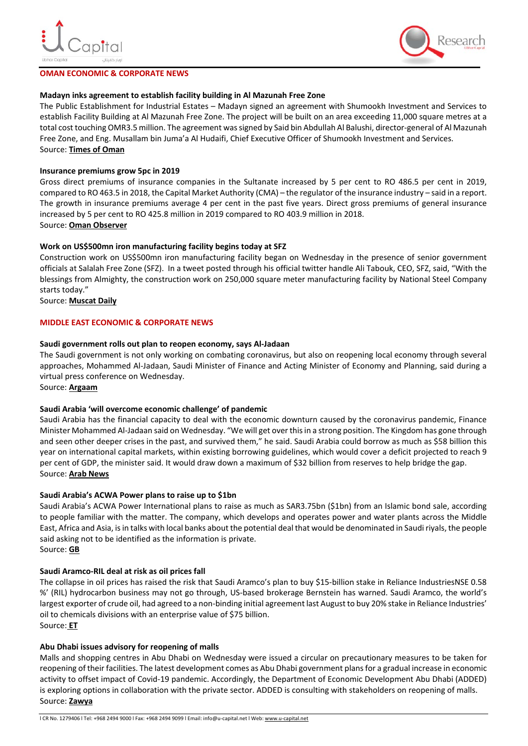

#### **OMAN ECONOMIC & CORPORATE NEWS**



#### **Madayn inks agreement to establish facility building in Al Mazunah Free Zone**

The Public Establishment for Industrial Estates – Madayn signed an agreement with Shumookh Investment and Services to establish Facility Building at Al Mazunah Free Zone. The project will be built on an area exceeding 11,000 square metres at a total cost touching OMR3.5 million. The agreement was signed by Said bin Abdullah Al Balushi, director-general of Al Mazunah Free Zone, and Eng. Musallam bin Juma'a Al Hudaifi, Chief Executive Officer of Shumookh Investment and Services. Source: **[Times of Oman](https://timesofoman.com/article/3014118/business/madayn-inks-agreement-to-establish-facility-building-in-al-mazunah-free-zone)**

#### **Insurance premiums grow 5pc in 2019**

Gross direct premiums of insurance companies in the Sultanate increased by 5 per cent to RO 486.5 per cent in 2019, compared to RO 463.5 in 2018, the Capital Market Authority (CMA) – the regulator of the insurance industry – said in a report. The growth in insurance premiums average 4 per cent in the past five years. Direct gross premiums of general insurance increased by 5 per cent to RO 425.8 million in 2019 compared to RO 403.9 million in 2018. Source: **[Oman Observer](https://www.omanobserver.om/insurance-premiums-grow-5pc-in-2019/)**

#### **Work on US\$500mn iron manufacturing facility begins today at SFZ**

Construction work on US\$500mn iron manufacturing facility began on Wednesday in the presence of senior government officials at Salalah Free Zone (SFZ). In a tweet posted through his official twitter handle Ali Tabouk, CEO, SFZ, said, "With the blessings from Almighty, the construction work on 250,000 square meter manufacturing facility by National Steel Company starts today."

Source: **[Muscat Daily](https://muscatdaily.com/Oman/386386/Work-on-US$500mn-iron-manufacturing-facility-begins-today-at-SFZ)**

#### **MIDDLE EAST ECONOMIC & CORPORATE NEWS**

#### **Saudi government rolls out plan to reopen economy, says Al-Jadaan**

The Saudi government is not only working on combating coronavirus, but also on reopening local economy through several approaches, Mohammed Al-Jadaan, Saudi Minister of Finance and Acting Minister of Economy and Planning, said during a virtual press conference on Wednesday.

Source: **[Argaam](https://www.argaam.com/en/article/articledetail/id/1369713)**

# **Saudi Arabia 'will overcome economic challenge' of pandemic**

Saudi Arabia has the financial capacity to deal with the economic downturn caused by the coronavirus pandemic, Finance Minister Mohammed Al-Jadaan said on Wednesday. "We will get over this in a strong position. The Kingdom has gone through and seen other deeper crises in the past, and survived them," he said. Saudi Arabia could borrow as much as \$58 billion this year on international capital markets, within existing borrowing guidelines, which would cover a deficit projected to reach 9 per cent of GDP, the minister said. It would draw down a maximum of \$32 billion from reserves to help bridge the gap. Source: **[Arab News](https://www.arabnews.com/node/1663031/business-economy)**

#### **Saudi Arabia's ACWA Power plans to raise up to \$1bn**

Saudi Arabia's ACWA Power International plans to raise as much as SAR3.75bn (\$1bn) from an Islamic bond sale, according to people familiar with the matter. The company, which develops and operates power and water plants across the Middle East, Africa and Asia, is in talks with local banks about the potential deal that would be denominated in Saudi riyals, the people said asking not to be identified as the information is private. Source: **[GB](https://gulfbusiness.com/saudi-arabias-acwa-power-plans-raise-1bn/)**

#### **Saudi Aramco-RIL deal at risk as oil prices fall**

The collapse in oil prices has raised the risk that Saudi Aramco's plan to buy \$15-billion stake in Reliance IndustriesNSE 0.58 %' (RIL) hydrocarbon business may not go through, US-based brokerage Bernstein has warned. Saudi Aramco, the world's largest exporter of crude oil, had agreed to a non-binding initial agreement last August to buy 20% stake in Reliance Industries' oil to chemicals divisions with an enterprise value of \$75 billion. Source: **[ET](https://economictimes.indiatimes.com/industry/energy/oil-gas/saudi-aramco-ril-deal-at-risk-as-oil-prices-fall/articleshow/75304300.cms)**

# **Abu Dhabi issues advisory for reopening of malls**

Malls and shopping centres in Abu Dhabi on Wednesday were issued a circular on precautionary measures to be taken for reopening of their facilities. The latest development comes as Abu Dhabi government plans for a gradual increase in economic activity to offset impact of Covid-19 pandemic. Accordingly, the Department of Economic Development Abu Dhabi (ADDED) is exploring options in collaboration with the private sector. ADDED is consulting with stakeholders on reopening of malls. Source: **[Zawya](https://www.zawya.com/mena/en/business/story/Combating_coronavirus_Abu_Dhabi_issues_advisory_for_reopening_of_malls-SNG_172942956/)**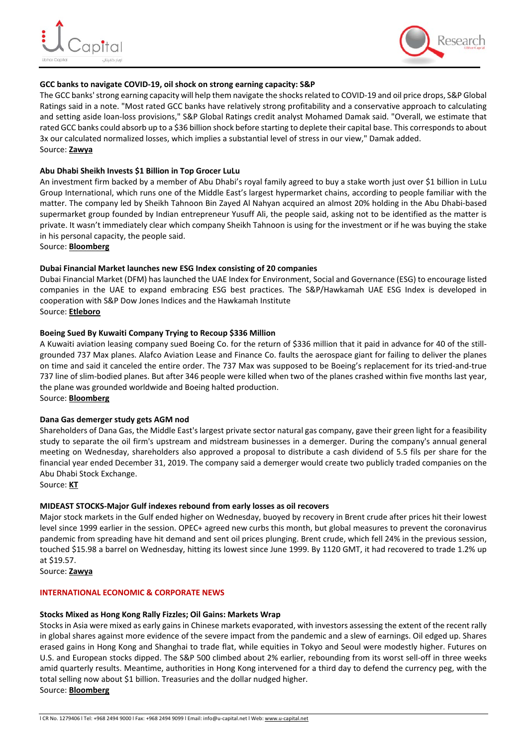



# **GCC banks to navigate COVID-19, oil shock on strong earning capacity: S&P**

The GCC banks' strong earning capacity will help them navigate the shocks related to COVID-19 and oil price drops, S&P Global Ratings said in a note. "Most rated GCC banks have relatively strong profitability and a conservative approach to calculating and setting aside loan-loss provisions," S&P Global Ratings credit analyst Mohamed Damak said. "Overall, we estimate that rated GCC banks could absorb up to a \$36 billion shock before starting to deplete their capital base. This corresponds to about 3x our calculated normalized losses, which implies a substantial level of stress in our view," Damak added. Source: **[Zawya](https://www.zawya.com/mena/en/economy/story/GCC_banks_to_navigate_COVID19_oil_shock_on_strong_earning_capacity_SP-ZAWYA20200423035034/)**

# **Abu Dhabi Sheikh Invests \$1 Billion in Top Grocer LuLu**

An investment firm backed by a member of Abu Dhabi's royal family agreed to buy a stake worth just over \$1 billion in LuLu Group International, which runs one of the Middle East's largest hypermarket chains, according to people familiar with the matter. The company led by Sheikh Tahnoon Bin Zayed Al Nahyan acquired an almost 20% holding in the Abu Dhabi-based supermarket group founded by Indian entrepreneur Yusuff Ali, the people said, asking not to be identified as the matter is private. It wasn't immediately clear which company Sheikh Tahnoon is using for the investment or if he was buying the stake in his personal capacity, the people said.

Source: **[Bloomberg](https://www.bloomberg.com/news/articles/2020-04-22/abu-dhabi-sheikh-is-said-to-invest-1-billion-in-top-grocer-lulu)**

# **Dubai Financial Market launches new ESG Index consisting of 20 companies**

Dubai Financial Market (DFM) has launched the UAE Index for Environment, Social and Governance (ESG) to encourage listed companies in the UAE to expand embracing ESG best practices. The S&P/Hawkamah UAE ESG Index is developed in cooperation with S&P Dow Jones Indices and the Hawkamah Institute Source: **[Etleboro](https://etleboro.org/g/88df4bddba924318ece431fb9b18fb85en/dubai-financial-market-launches-new-esg-index-consisting-of-20-companies)**

# **Boeing Sued By Kuwaiti Company Trying to Recoup \$336 Million**

A Kuwaiti aviation leasing company sued Boeing Co. for the return of \$336 million that it paid in advance for 40 of the stillgrounded 737 Max planes. Alafco Aviation Lease and Finance Co. faults the aerospace giant for failing to deliver the planes on time and said it canceled the entire order. The 737 Max was supposed to be Boeing's replacement for its tried-and-true 737 line of slim-bodied planes. But after 346 people were killed when two of the planes crashed within five months last year, the plane was grounded worldwide and Boeing halted production.

Source: **[Bloomberg](https://www.bloomberg.com/news/articles/2020-04-23/boeing-sued-by-kuwaiti-company-seeking-return-of-336-million?srnd=premium-middle-east)**

# **Dana Gas demerger study gets AGM nod**

Shareholders of Dana Gas, the Middle East's largest private sector natural gas company, gave their green light for a feasibility study to separate the oil firm's upstream and midstream businesses in a demerger. During the company's annual general meeting on Wednesday, shareholders also approved a proposal to distribute a cash dividend of 5.5 fils per share for the financial year ended December 31, 2019. The company said a demerger would create two publicly traded companies on the Abu Dhabi Stock Exchange.

Source: **[KT](https://www.khaleejtimes.com/business/local/dana-gas-shareholders-approve-55-fils-cash-dividend-demerger-feasibility-study-at-agm)**

#### **MIDEAST STOCKS-Major Gulf indexes rebound from early losses as oil recovers**

Major stock markets in the Gulf ended higher on Wednesday, buoyed by recovery in Brent crude after prices hit their lowest level since 1999 earlier in the session. OPEC+ agreed new curbs this month, but global measures to prevent the coronavirus pandemic from spreading have hit demand and sent oil prices plunging. Brent crude, which fell 24% in the previous session, touched \$15.98 a barrel on Wednesday, hitting its lowest since June 1999. By 1120 GMT, it had recovered to trade 1.2% up at \$19.57.

Source: **[Zawya](https://www.zawya.com/mena/en/markets/story/Mideast_Stocks_Major_Gulf_indexes_rebound_from_early_losses_as_oil_recovers-TR20200422nL5N2CA4N1X1/)**

#### **INTERNATIONAL ECONOMIC & CORPORATE NEWS**

#### **Stocks Mixed as Hong Kong Rally Fizzles; Oil Gains: Markets Wrap**

Stocks in Asia were mixed as early gains in Chinese markets evaporated, with investors assessing the extent of the recent rally in global shares against more evidence of the severe impact from the pandemic and a slew of earnings. Oil edged up. Shares erased gains in Hong Kong and Shanghai to trade flat, while equities in Tokyo and Seoul were modestly higher. Futures on U.S. and European stocks dipped. The S&P 500 climbed about 2% earlier, rebounding from its worst sell-off in three weeks amid quarterly results. Meantime, authorities in Hong Kong intervened for a third day to defend the currency peg, with the total selling now about \$1 billion. Treasuries and the dollar nudged higher. Source: **[Bloomberg](https://www.bloomberg.com/news/articles/2020-04-22/asia-stocks-set-for-modest-gains-oil-up-from-lows-markets-wrap?srnd=premium-middle-east)**